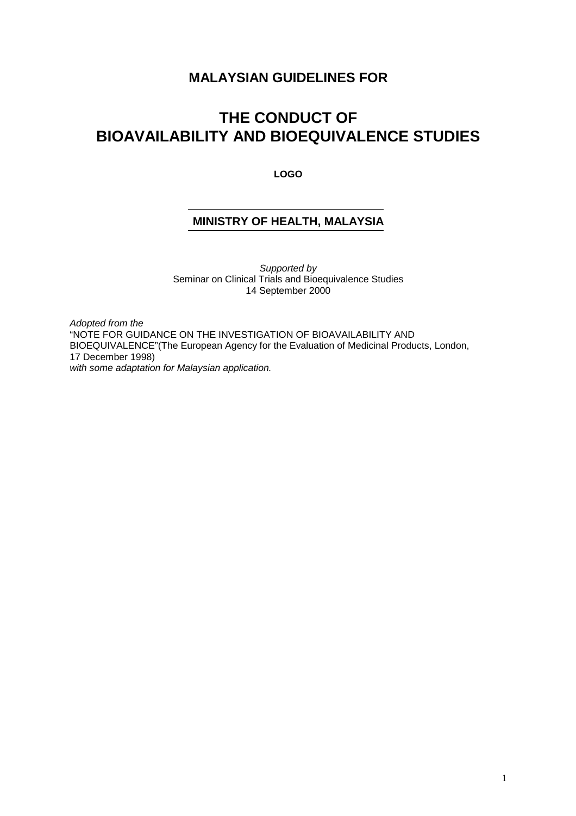## **MALAYSIAN GUIDELINES FOR**

# **THE CONDUCT OF BIOAVAILABILITY AND BIOEQUIVALENCE STUDIES**

**LOGO**

## **MINISTRY OF HEALTH, MALAYSIA**

Supported by Seminar on Clinical Trials and Bioequivalence Studies 14 September 2000

Adopted from the "NOTE FOR GUIDANCE ON THE INVESTIGATION OF BIOAVAILABILITY AND BIOEQUIVALENCE"(The European Agency for the Evaluation of Medicinal Products, London, 17 December 1998) with some adaptation for Malaysian application.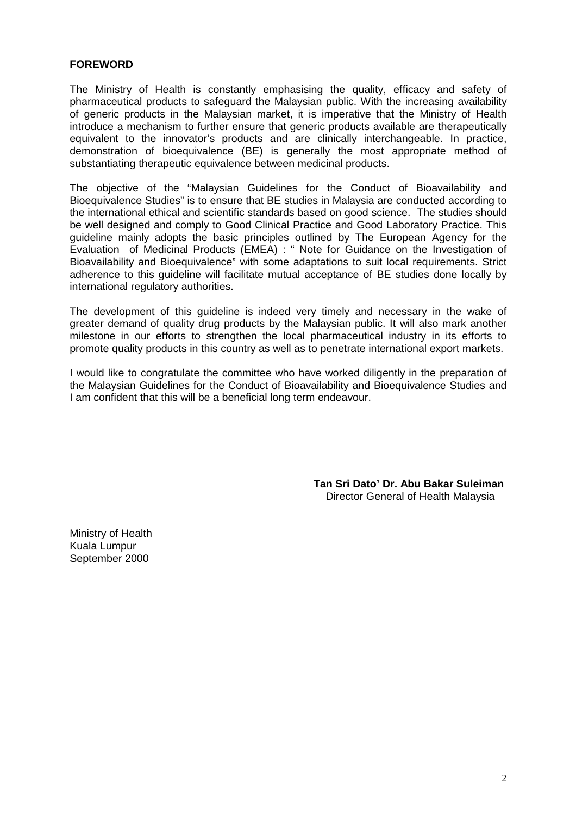#### **FOREWORD**

The Ministry of Health is constantly emphasising the quality, efficacy and safety of pharmaceutical products to safeguard the Malaysian public. With the increasing availability of generic products in the Malaysian market, it is imperative that the Ministry of Health introduce a mechanism to further ensure that generic products available are therapeutically equivalent to the innovator's products and are clinically interchangeable. In practice, demonstration of bioequivalence (BE) is generally the most appropriate method of substantiating therapeutic equivalence between medicinal products.

The objective of the "Malaysian Guidelines for the Conduct of Bioavailability and Bioequivalence Studies" is to ensure that BE studies in Malaysia are conducted according to the international ethical and scientific standards based on good science. The studies should be well designed and comply to Good Clinical Practice and Good Laboratory Practice. This guideline mainly adopts the basic principles outlined by The European Agency for the Evaluation of Medicinal Products (EMEA) : " Note for Guidance on the Investigation of Bioavailability and Bioequivalence" with some adaptations to suit local requirements. Strict adherence to this guideline will facilitate mutual acceptance of BE studies done locally by international regulatory authorities.

The development of this guideline is indeed very timely and necessary in the wake of greater demand of quality drug products by the Malaysian public. It will also mark another milestone in our efforts to strengthen the local pharmaceutical industry in its efforts to promote quality products in this country as well as to penetrate international export markets.

I would like to congratulate the committee who have worked diligently in the preparation of the Malaysian Guidelines for the Conduct of Bioavailability and Bioequivalence Studies and I am confident that this will be a beneficial long term endeavour.

> **Tan Sri Dato' Dr. Abu Bakar Suleiman** Director General of Health Malaysia

Ministry of Health Kuala Lumpur September 2000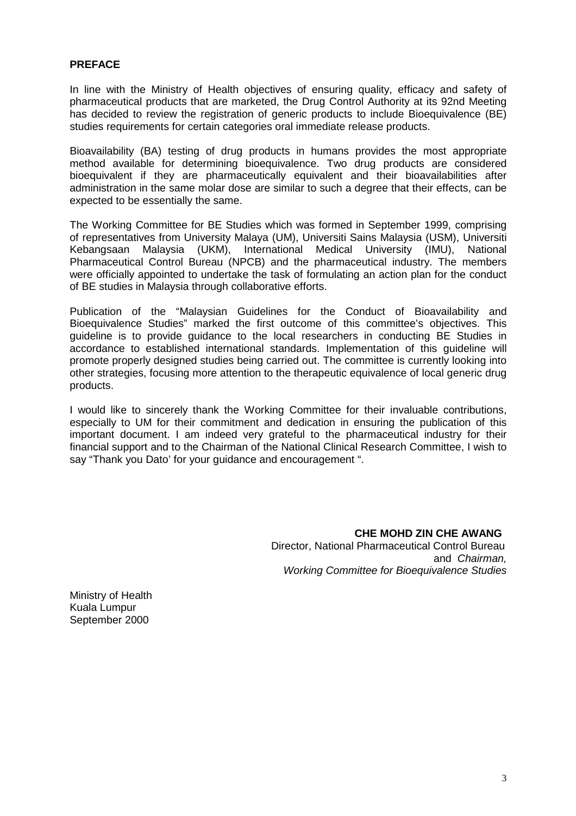#### **PREFACE**

In line with the Ministry of Health objectives of ensuring quality, efficacy and safety of pharmaceutical products that are marketed, the Drug Control Authority at its 92nd Meeting has decided to review the registration of generic products to include Bioeguivalence (BE) studies requirements for certain categories oral immediate release products.

Bioavailability (BA) testing of drug products in humans provides the most appropriate method available for determining bioequivalence. Two drug products are considered bioequivalent if they are pharmaceutically equivalent and their bioavailabilities after administration in the same molar dose are similar to such a degree that their effects, can be expected to be essentially the same.

The Working Committee for BE Studies which was formed in September 1999, comprising of representatives from University Malaya (UM), Universiti Sains Malaysia (USM), Universiti Kebangsaan Malaysia (UKM), International Medical University (IMU), National Pharmaceutical Control Bureau (NPCB) and the pharmaceutical industry. The members were officially appointed to undertake the task of formulating an action plan for the conduct of BE studies in Malaysia through collaborative efforts.

Publication of the "Malaysian Guidelines for the Conduct of Bioavailability and Bioequivalence Studies" marked the first outcome of this committee's objectives. This guideline is to provide guidance to the local researchers in conducting BE Studies in accordance to established international standards. Implementation of this guideline will promote properly designed studies being carried out. The committee is currently looking into other strategies, focusing more attention to the therapeutic equivalence of local generic drug products.

I would like to sincerely thank the Working Committee for their invaluable contributions, especially to UM for their commitment and dedication in ensuring the publication of this important document. I am indeed very grateful to the pharmaceutical industry for their financial support and to the Chairman of the National Clinical Research Committee, I wish to say "Thank you Dato' for your guidance and encouragement ".

> **CHE MOHD ZIN CHE AWANG** Director, National Pharmaceutical Control Bureau and Chairman, Working Committee for Bioeguivalence Studies

Ministry of Health Kuala Lumpur September 2000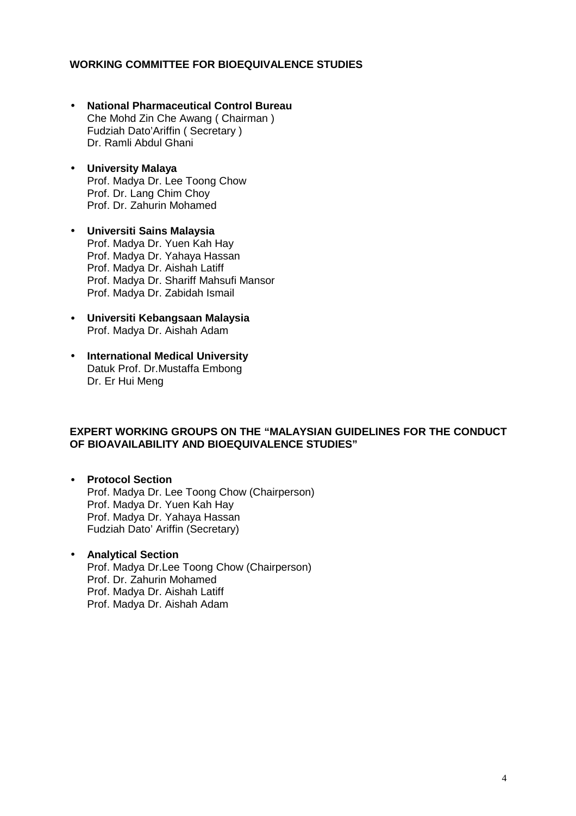#### **WORKING COMMITTEE FOR BIOEQUIVALENCE STUDIES**

- **National Pharmaceutical Control Bureau** Che Mohd Zin Che Awang ( Chairman ) Fudziah Dato'Ariffin ( Secretary ) Dr. Ramli Abdul Ghani
- **University Malaya** Prof. Madya Dr. Lee Toong Chow Prof. Dr. Lang Chim Choy Prof. Dr. Zahurin Mohamed
- **Universiti Sains Malaysia** Prof. Madya Dr. Yuen Kah Hay Prof. Madya Dr. Yahaya Hassan Prof. Madya Dr. Aishah Latiff Prof. Madya Dr. Shariff Mahsufi Mansor Prof. Madya Dr. Zabidah Ismail
- **Universiti Kebangsaan Malaysia** Prof. Madya Dr. Aishah Adam
- **International Medical University** Datuk Prof. Dr.Mustaffa Embong Dr. Er Hui Meng

#### **EXPERT WORKING GROUPS ON THE "MALAYSIAN GUIDELINES FOR THE CONDUCT OF BIOAVAILABILITY AND BIOEQUIVALENCE STUDIES"**

- **Protocol Section** Prof. Madya Dr. Lee Toong Chow (Chairperson) Prof. Madya Dr. Yuen Kah Hay Prof. Madya Dr. Yahaya Hassan Fudziah Dato' Ariffin (Secretary)
- **Analytical Section** Prof. Madya Dr.Lee Toong Chow (Chairperson) Prof. Dr. Zahurin Mohamed Prof. Madya Dr. Aishah Latiff Prof. Madya Dr. Aishah Adam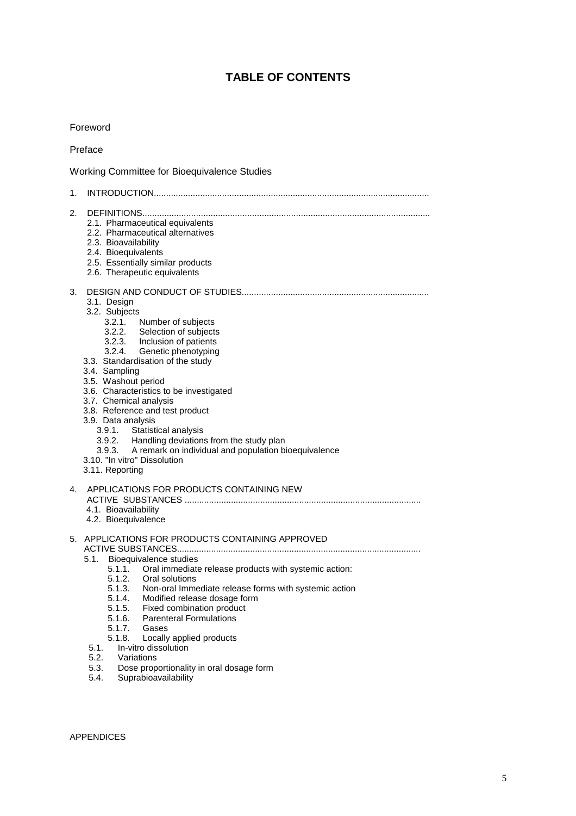# **TABLE OF CONTENTS**

#### Foreword

#### Preface

Working Committee for Bioequivalence Studies

| 1. |                                                                                                                                                                                                                                                                                                                                                                                                                                                                                                                                                                          |
|----|--------------------------------------------------------------------------------------------------------------------------------------------------------------------------------------------------------------------------------------------------------------------------------------------------------------------------------------------------------------------------------------------------------------------------------------------------------------------------------------------------------------------------------------------------------------------------|
| 2. | 2.1. Pharmaceutical equivalents<br>2.2. Pharmaceutical alternatives<br>2.3. Bioavailability<br>2.4. Bioequivalents<br>2.5. Essentially similar products<br>2.6. Therapeutic equivalents                                                                                                                                                                                                                                                                                                                                                                                  |
| 3. | 3.1. Design<br>3.2. Subjects<br>3.2.1.<br>Number of subjects<br>3.2.2. Selection of subjects<br>3.2.3. Inclusion of patients<br>3.2.4. Genetic phenotyping<br>3.3. Standardisation of the study<br>3.4. Sampling<br>3.5. Washout period<br>3.6. Characteristics to be investigated<br>3.7. Chemical analysis<br>3.8. Reference and test product<br>3.9. Data analysis<br>3.9.1. Statistical analysis<br>3.9.2. Handling deviations from the study plan<br>3.9.3. A remark on individual and population bioequivalence<br>3.10. "In vitro" Dissolution<br>3.11. Reporting |
| 4. | APPLICATIONS FOR PRODUCTS CONTAINING NEW<br>4.1. Bioavailability<br>4.2. Bioequivalence                                                                                                                                                                                                                                                                                                                                                                                                                                                                                  |
|    | 5. APPLICATIONS FOR PRODUCTS CONTAINING APPROVED<br>5.1.<br>Bioequivalence studies<br>5.1.1. Oral immediate release products with systemic action:<br>5.1.2.<br>Oral solutions<br>5.1.3. Non-oral Immediate release forms with systemic action<br>5.1.4. Modified release dosage form<br>5.1.5. Fixed combination product<br>5.1.6. Parenteral Formulations<br>5.1.7.<br>Gases<br>5.1.8. Locally applied products<br>In-vitro dissolution<br>5.1.<br>5.2.<br>Variations                                                                                                  |
|    | Dose proportionality in oral dosage form<br>5.3.                                                                                                                                                                                                                                                                                                                                                                                                                                                                                                                         |

5.4. Suprabioavailability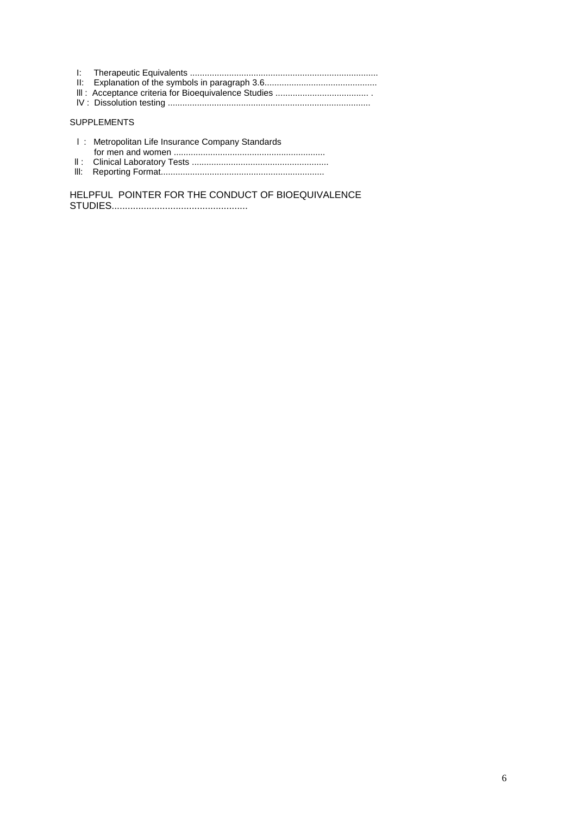#### SUPPLEMENTS

| I: Metropolitan Life Insurance Company Standards |
|--------------------------------------------------|
|                                                  |
|                                                  |
|                                                  |

lll: Reporting Format...................................................................

HELPFUL POINTER FOR THE CONDUCT OF BIOEQUIVALENCE STUDIES...................................................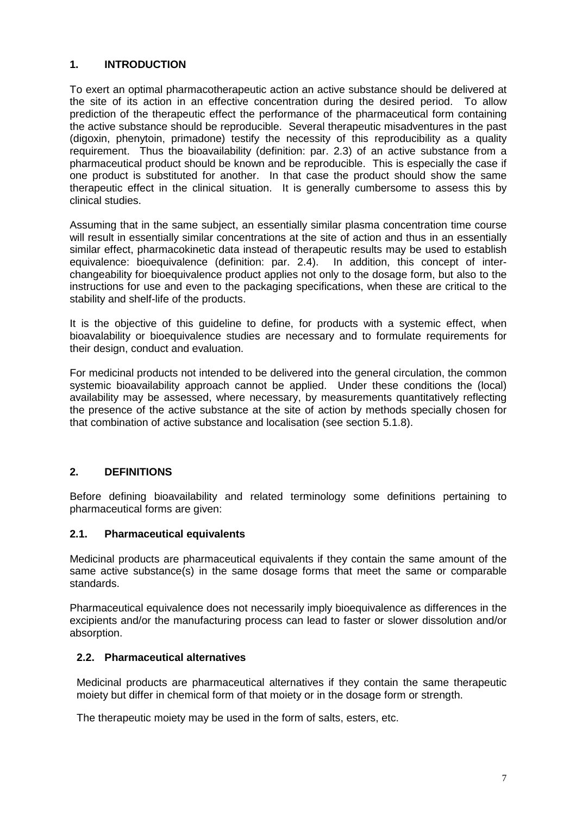## **1. INTRODUCTION**

To exert an optimal pharmacotherapeutic action an active substance should be delivered at the site of its action in an effective concentration during the desired period. To allow prediction of the therapeutic effect the performance of the pharmaceutical form containing the active substance should be reproducible. Several therapeutic misadventures in the past (digoxin, phenytoin, primadone) testify the necessity of this reproducibility as a quality requirement. Thus the bioavailability (definition: par. 2.3) of an active substance from a pharmaceutical product should be known and be reproducible. This is especially the case if one product is substituted for another. In that case the product should show the same therapeutic effect in the clinical situation. It is generally cumbersome to assess this by clinical studies.

Assuming that in the same subject, an essentially similar plasma concentration time course will result in essentially similar concentrations at the site of action and thus in an essentially similar effect, pharmacokinetic data instead of therapeutic results may be used to establish equivalence: bioequivalence (definition: par. 2.4). In addition, this concept of interchangeability for bioequivalence product applies not only to the dosage form, but also to the instructions for use and even to the packaging specifications, when these are critical to the stability and shelf-life of the products.

It is the objective of this guideline to define, for products with a systemic effect, when bioavalability or bioequivalence studies are necessary and to formulate requirements for their design, conduct and evaluation.

For medicinal products not intended to be delivered into the general circulation, the common systemic bioavailability approach cannot be applied. Under these conditions the (local) availability may be assessed, where necessary, by measurements quantitatively reflecting the presence of the active substance at the site of action by methods specially chosen for that combination of active substance and localisation (see section 5.1.8).

#### **2. DEFINITIONS**

Before defining bioavailability and related terminology some definitions pertaining to pharmaceutical forms are given:

#### **2.1. Pharmaceutical equivalents**

Medicinal products are pharmaceutical equivalents if they contain the same amount of the same active substance(s) in the same dosage forms that meet the same or comparable standards.

Pharmaceutical equivalence does not necessarily imply bioequivalence as differences in the excipients and/or the manufacturing process can lead to faster or slower dissolution and/or absorption.

#### **2.2. Pharmaceutical alternatives**

Medicinal products are pharmaceutical alternatives if they contain the same therapeutic moiety but differ in chemical form of that moiety or in the dosage form or strength.

The therapeutic moiety may be used in the form of salts, esters, etc.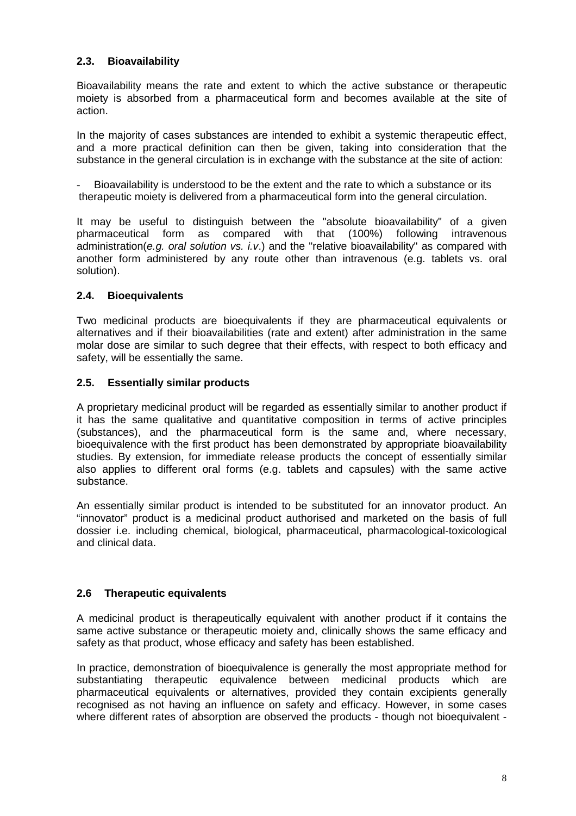## **2.3. Bioavailability**

Bioavailability means the rate and extent to which the active substance or therapeutic moiety is absorbed from a pharmaceutical form and becomes available at the site of action.

In the majority of cases substances are intended to exhibit a systemic therapeutic effect, and a more practical definition can then be given, taking into consideration that the substance in the general circulation is in exchange with the substance at the site of action:

Bioavailability is understood to be the extent and the rate to which a substance or its therapeutic moiety is delivered from a pharmaceutical form into the general circulation.

It may be useful to distinguish between the "absolute bioavailability" of a given pharmaceutical form as compared with that (100%) following intravenous administration(e.g. oral solution vs. i.v.) and the "relative bioavailability" as compared with another form administered by any route other than intravenous (e.g. tablets vs. oral solution).

## **2.4. Bioequivalents**

Two medicinal products are bioequivalents if they are pharmaceutical equivalents or alternatives and if their bioavailabilities (rate and extent) after administration in the same molar dose are similar to such degree that their effects, with respect to both efficacy and safety, will be essentially the same.

#### **2.5. Essentially similar products**

A proprietary medicinal product will be regarded as essentially similar to another product if it has the same qualitative and quantitative composition in terms of active principles (substances), and the pharmaceutical form is the same and, where necessary, bioequivalence with the first product has been demonstrated by appropriate bioavailability studies. By extension, for immediate release products the concept of essentially similar also applies to different oral forms (e.g. tablets and capsules) with the same active substance.

An essentially similar product is intended to be substituted for an innovator product. An "innovator" product is a medicinal product authorised and marketed on the basis of full dossier i.e. including chemical, biological, pharmaceutical, pharmacological-toxicological and clinical data.

#### **2.6 Therapeutic equivalents**

A medicinal product is therapeutically equivalent with another product if it contains the same active substance or therapeutic moiety and, clinically shows the same efficacy and safety as that product, whose efficacy and safety has been established.

In practice, demonstration of bioequivalence is generally the most appropriate method for substantiating therapeutic equivalence between medicinal products which are pharmaceutical equivalents or alternatives, provided they contain excipients generally recognised as not having an influence on safety and efficacy. However, in some cases where different rates of absorption are observed the products - though not bioequivalent -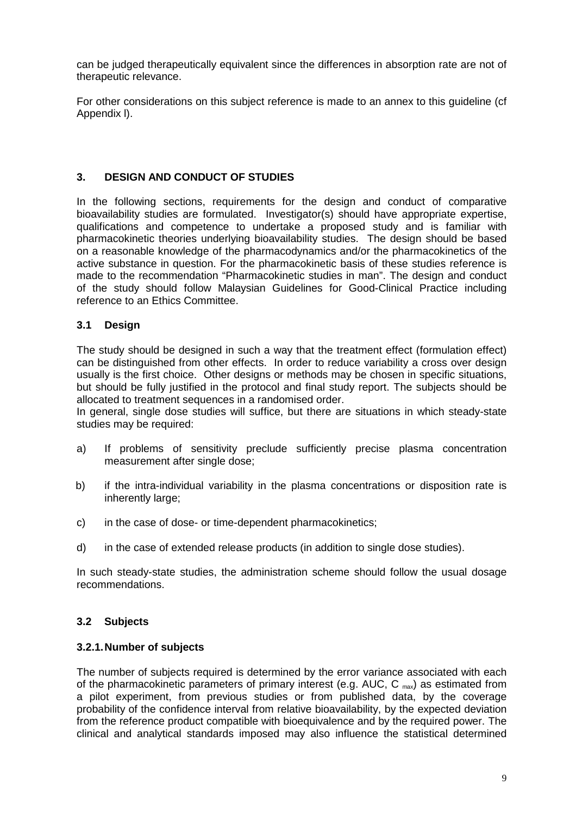can be judged therapeutically equivalent since the differences in absorption rate are not of therapeutic relevance.

For other considerations on this subject reference is made to an annex to this guideline (cf Appendix l).

#### **3. DESIGN AND CONDUCT OF STUDIES**

In the following sections, requirements for the design and conduct of comparative bioavailability studies are formulated. Investigator(s) should have appropriate expertise, qualifications and competence to undertake a proposed study and is familiar with pharmacokinetic theories underlying bioavailability studies. The design should be based on a reasonable knowledge of the pharmacodynamics and/or the pharmacokinetics of the active substance in question. For the pharmacokinetic basis of these studies reference is made to the recommendation "Pharmacokinetic studies in man". The design and conduct of the study should follow Malaysian Guidelines for Good-Clinical Practice including reference to an Ethics Committee.

#### **3.1 Design**

The study should be designed in such a way that the treatment effect (formulation effect) can be distinguished from other effects. In order to reduce variability a cross over design usually is the first choice. Other designs or methods may be chosen in specific situations, but should be fully justified in the protocol and final study report. The subjects should be allocated to treatment sequences in a randomised order.

In general, single dose studies will suffice, but there are situations in which steady-state studies may be required:

- a) If problems of sensitivity preclude sufficiently precise plasma concentration measurement after single dose;
- b) if the intra-individual variability in the plasma concentrations or disposition rate is inherently large;
- c) in the case of dose- or time-dependent pharmacokinetics;
- d) in the case of extended release products (in addition to single dose studies).

In such steady-state studies, the administration scheme should follow the usual dosage recommendations.

#### **3.2 Subjects**

#### **3.2.1.Number of subjects**

The number of subjects required is determined by the error variance associated with each of the pharmacokinetic parameters of primary interest (e.g. AUC, C  $_{\text{max}}$ ) as estimated from a pilot experiment, from previous studies or from published data, by the coverage probability of the confidence interval from relative bioavailability, by the expected deviation from the reference product compatible with bioequivalence and by the required power. The clinical and analytical standards imposed may also influence the statistical determined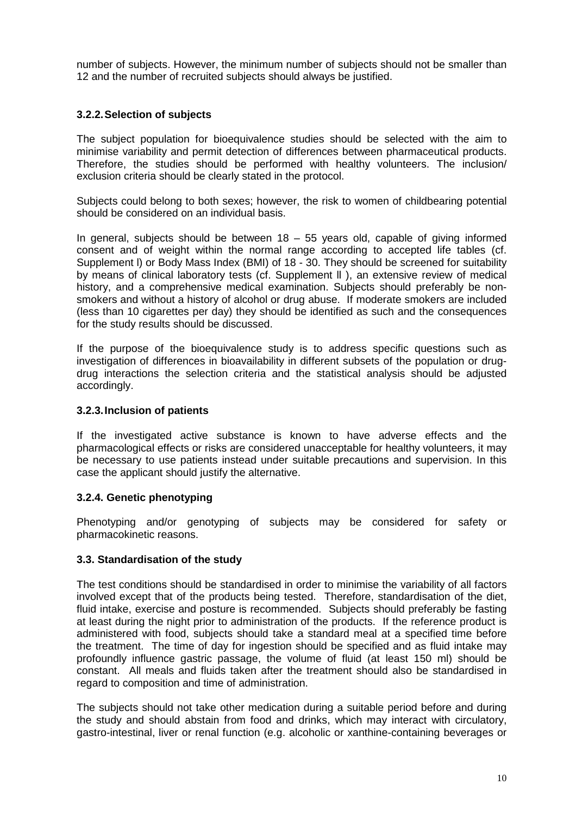number of subjects. However, the minimum number of subjects should not be smaller than 12 and the number of recruited subjects should always be justified.

#### **3.2.2.Selection of subjects**

The subject population for bioequivalence studies should be selected with the aim to minimise variability and permit detection of differences between pharmaceutical products. Therefore, the studies should be performed with healthy volunteers. The inclusion/ exclusion criteria should be clearly stated in the protocol.

Subjects could belong to both sexes; however, the risk to women of childbearing potential should be considered on an individual basis.

In general, subjects should be between  $18 - 55$  years old, capable of giving informed consent and of weight within the normal range according to accepted life tables (cf. Supplement l) or Body Mass Index (BMI) of 18 - 30. They should be screened for suitability by means of clinical laboratory tests (cf. Supplement ll ), an extensive review of medical history, and a comprehensive medical examination. Subjects should preferably be nonsmokers and without a history of alcohol or drug abuse. If moderate smokers are included (less than 10 cigarettes per day) they should be identified as such and the consequences for the study results should be discussed.

If the purpose of the bioequivalence study is to address specific questions such as investigation of differences in bioavailability in different subsets of the population or drugdrug interactions the selection criteria and the statistical analysis should be adjusted accordingly.

#### **3.2.3.Inclusion of patients**

If the investigated active substance is known to have adverse effects and the pharmacological effects or risks are considered unacceptable for healthy volunteers, it may be necessary to use patients instead under suitable precautions and supervision. In this case the applicant should justify the alternative.

#### **3.2.4. Genetic phenotyping**

Phenotyping and/or genotyping of subjects may be considered for safety or pharmacokinetic reasons.

#### **3.3. Standardisation of the study**

The test conditions should be standardised in order to minimise the variability of all factors involved except that of the products being tested. Therefore, standardisation of the diet, fluid intake, exercise and posture is recommended. Subjects should preferably be fasting at least during the night prior to administration of the products. If the reference product is administered with food, subjects should take a standard meal at a specified time before the treatment. The time of day for ingestion should be specified and as fluid intake may profoundly influence gastric passage, the volume of fluid (at least 150 ml) should be constant. All meals and fluids taken after the treatment should also be standardised in regard to composition and time of administration.

The subjects should not take other medication during a suitable period before and during the study and should abstain from food and drinks, which may interact with circulatory, gastro-intestinal, liver or renal function (e.g. alcoholic or xanthine-containing beverages or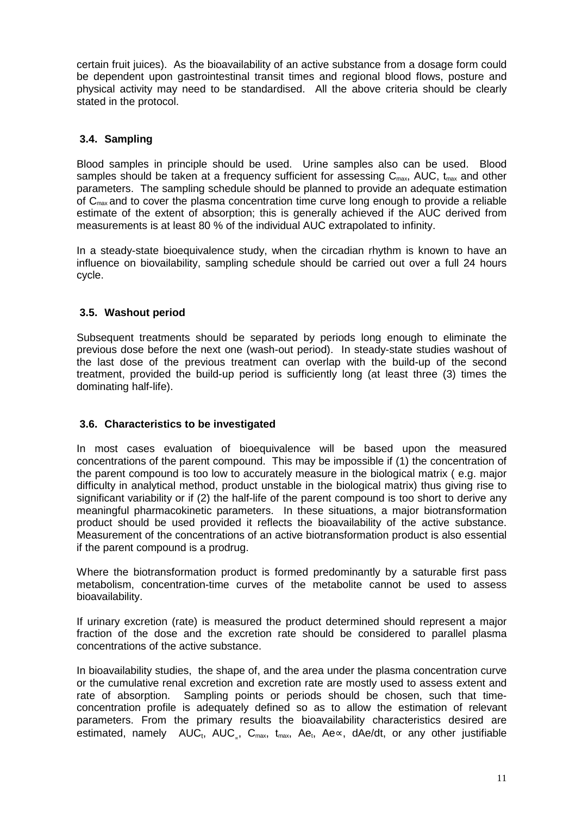certain fruit juices). As the bioavailability of an active substance from a dosage form could be dependent upon gastrointestinal transit times and regional blood flows, posture and physical activity may need to be standardised. All the above criteria should be clearly stated in the protocol.

## **3.4. Sampling**

Blood samples in principle should be used. Urine samples also can be used. Blood samples should be taken at a frequency sufficient for assessing  $C_{\text{max}}$ , AUC,  $t_{\text{max}}$  and other parameters. The sampling schedule should be planned to provide an adequate estimation of Cmax and to cover the plasma concentration time curve long enough to provide a reliable estimate of the extent of absorption; this is generally achieved if the AUC derived from measurements is at least 80 % of the individual AUC extrapolated to infinity.

In a steady-state bioequivalence study, when the circadian rhythm is known to have an influence on biovailability, sampling schedule should be carried out over a full 24 hours cycle.

## **3.5. Washout period**

Subsequent treatments should be separated by periods long enough to eliminate the previous dose before the next one (wash-out period). In steady-state studies washout of the last dose of the previous treatment can overlap with the build-up of the second treatment, provided the build-up period is sufficiently long (at least three (3) times the dominating half-life).

## **3.6. Characteristics to be investigated**

In most cases evaluation of bioequivalence will be based upon the measured concentrations of the parent compound. This may be impossible if (1) the concentration of the parent compound is too low to accurately measure in the biological matrix ( e.g. major difficulty in analytical method, product unstable in the biological matrix) thus giving rise to significant variability or if (2) the half-life of the parent compound is too short to derive any meaningful pharmacokinetic parameters. In these situations, a major biotransformation product should be used provided it reflects the bioavailability of the active substance. Measurement of the concentrations of an active biotransformation product is also essential if the parent compound is a prodrug.

Where the biotransformation product is formed predominantly by a saturable first pass metabolism, concentration-time curves of the metabolite cannot be used to assess bioavailability.

If urinary excretion (rate) is measured the product determined should represent a major fraction of the dose and the excretion rate should be considered to parallel plasma concentrations of the active substance.

In bioavailability studies, the shape of, and the area under the plasma concentration curve or the cumulative renal excretion and excretion rate are mostly used to assess extent and rate of absorption. Sampling points or periods should be chosen, such that timeconcentration profile is adequately defined so as to allow the estimation of relevant parameters. From the primary results the bioavailability characteristics desired are estimated, namely AUC<sub>t</sub>, AUC, C<sub>max</sub>, t<sub>max</sub>, Ae<sub>t</sub>, Ae∝, dAe/dt, or any other justifiable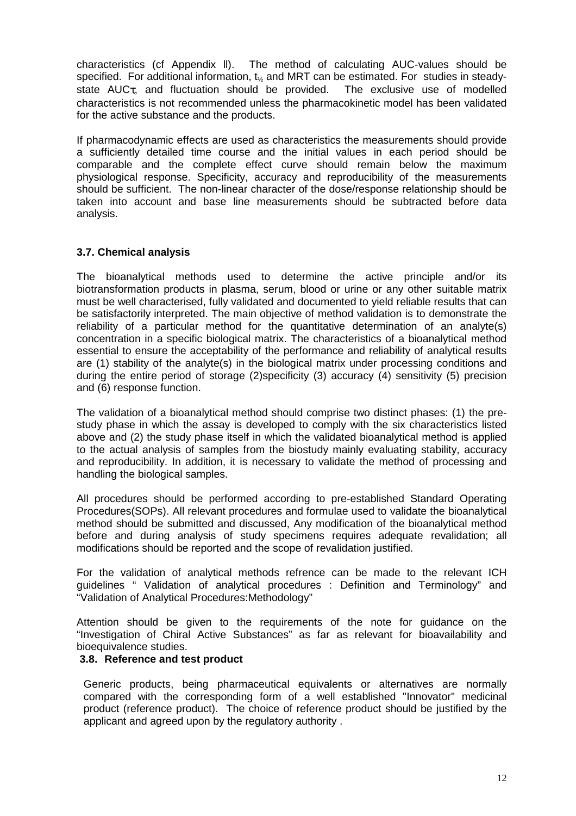characteristics (cf Appendix ll). The method of calculating AUC-values should be specified. For additional information,  $t_{\frac{1}{2}}$  and MRT can be estimated. For studies in steadystate  $AUC_{\tau}$ , and fluctuation should be provided. The exclusive use of modelled characteristics is not recommended unless the pharmacokinetic model has been validated for the active substance and the products.

If pharmacodynamic effects are used as characteristics the measurements should provide a sufficiently detailed time course and the initial values in each period should be comparable and the complete effect curve should remain below the maximum physiological response. Specificity, accuracy and reproducibility of the measurements should be sufficient. The non-linear character of the dose/response relationship should be taken into account and base line measurements should be subtracted before data analysis.

#### **3.7. Chemical analysis**

The bioanalytical methods used to determine the active principle and/or its biotransformation products in plasma, serum, blood or urine or any other suitable matrix must be well characterised, fully validated and documented to yield reliable results that can be satisfactorily interpreted. The main objective of method validation is to demonstrate the reliability of a particular method for the quantitative determination of an analyte(s) concentration in a specific biological matrix. The characteristics of a bioanalytical method essential to ensure the acceptability of the performance and reliability of analytical results are (1) stability of the analyte(s) in the biological matrix under processing conditions and during the entire period of storage (2)specificity (3) accuracy (4) sensitivity (5) precision and (6) response function.

The validation of a bioanalytical method should comprise two distinct phases: (1) the prestudy phase in which the assay is developed to comply with the six characteristics listed above and (2) the study phase itself in which the validated bioanalytical method is applied to the actual analysis of samples from the biostudy mainly evaluating stability, accuracy and reproducibility. In addition, it is necessary to validate the method of processing and handling the biological samples.

All procedures should be performed according to pre-established Standard Operating Procedures(SOPs). All relevant procedures and formulae used to validate the bioanalytical method should be submitted and discussed, Any modification of the bioanalytical method before and during analysis of study specimens requires adequate revalidation; all modifications should be reported and the scope of revalidation justified.

For the validation of analytical methods refrence can be made to the relevant ICH guidelines " Validation of analytical procedures : Definition and Terminology" and "Validation of Analytical Procedures:Methodology"

Attention should be given to the requirements of the note for guidance on the "Investigation of Chiral Active Substances" as far as relevant for bioavailability and bioequivalence studies.

#### **3.8. Reference and test product**

Generic products, being pharmaceutical equivalents or alternatives are normally compared with the corresponding form of a well established "Innovator" medicinal product (reference product). The choice of reference product should be justified by the applicant and agreed upon by the regulatory authority .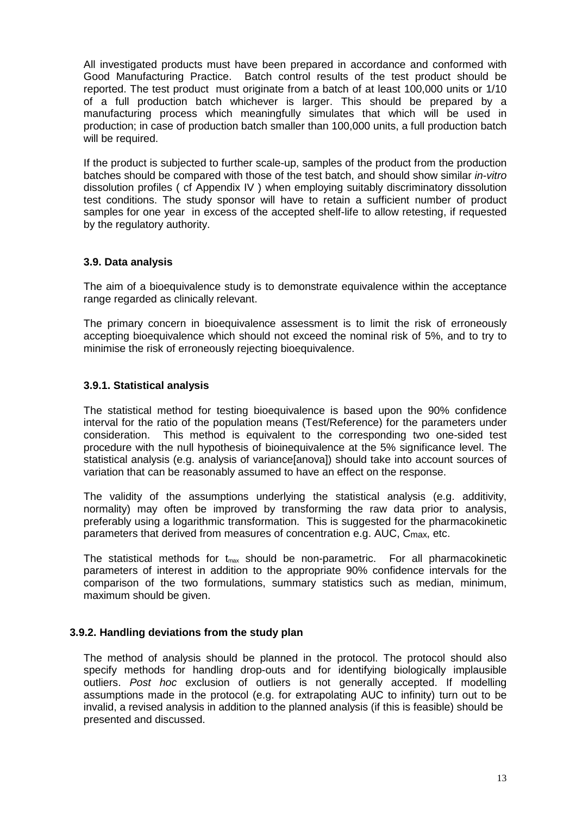All investigated products must have been prepared in accordance and conformed with Good Manufacturing Practice. Batch control results of the test product should be reported. The test product must originate from a batch of at least 100,000 units or 1/10 of a full production batch whichever is larger. This should be prepared by a manufacturing process which meaningfully simulates that which will be used in production; in case of production batch smaller than 100,000 units, a full production batch will be required.

If the product is subjected to further scale-up, samples of the product from the production batches should be compared with those of the test batch, and should show similar in-vitro dissolution profiles ( cf Appendix IV ) when employing suitably discriminatory dissolution test conditions. The study sponsor will have to retain a sufficient number of product samples for one year in excess of the accepted shelf-life to allow retesting, if requested by the regulatory authority.

#### **3.9. Data analysis**

The aim of a bioequivalence study is to demonstrate equivalence within the acceptance range regarded as clinically relevant.

The primary concern in bioequivalence assessment is to limit the risk of erroneously accepting bioequivalence which should not exceed the nominal risk of 5%, and to try to minimise the risk of erroneously rejecting bioequivalence.

#### **3.9.1. Statistical analysis**

The statistical method for testing bioequivalence is based upon the 90% confidence interval for the ratio of the population means (Test/Reference) for the parameters under consideration. This method is equivalent to the corresponding two one-sided test procedure with the null hypothesis of bioinequivalence at the 5% significance level. The statistical analysis (e.g. analysis of variance[anova]) should take into account sources of variation that can be reasonably assumed to have an effect on the response.

The validity of the assumptions underlying the statistical analysis (e.g. additivity, normality) may often be improved by transforming the raw data prior to analysis, preferably using a logarithmic transformation. This is suggested for the pharmacokinetic parameters that derived from measures of concentration e.g. AUC, Cmax, etc.

The statistical methods for  $t_{\text{max}}$  should be non-parametric. For all pharmacokinetic parameters of interest in addition to the appropriate 90% confidence intervals for the comparison of the two formulations, summary statistics such as median, minimum, maximum should be given.

#### **3.9.2. Handling deviations from the study plan**

The method of analysis should be planned in the protocol. The protocol should also specify methods for handling drop-outs and for identifying biologically implausible outliers. Post hoc exclusion of outliers is not generally accepted. If modelling assumptions made in the protocol (e.g. for extrapolating AUC to infinity) turn out to be invalid, a revised analysis in addition to the planned analysis (if this is feasible) should be presented and discussed.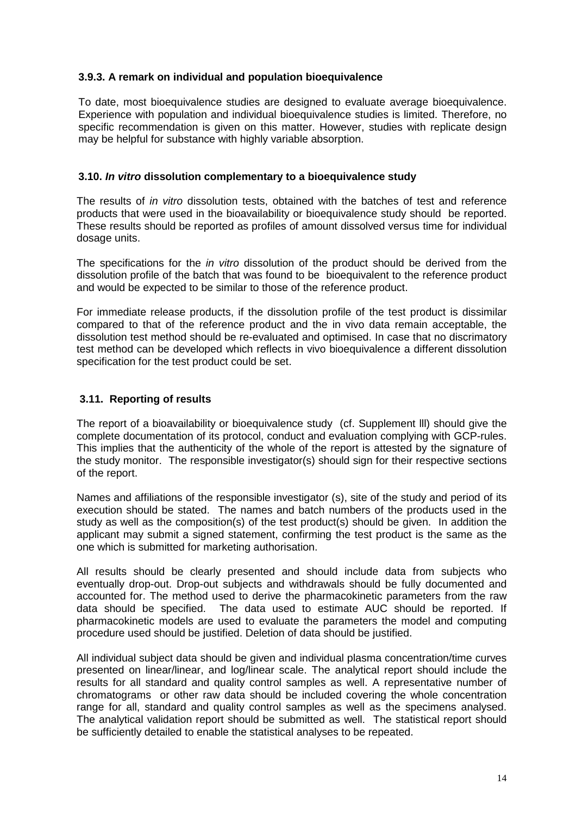#### **3.9.3. A remark on individual and population bioequivalence**

To date, most bioequivalence studies are designed to evaluate average bioequivalence. Experience with population and individual bioequivalence studies is limited. Therefore, no specific recommendation is given on this matter. However, studies with replicate design may be helpful for substance with highly variable absorption.

#### **3.10. In vitro dissolution complementary to a bioequivalence study**

The results of *in vitro* dissolution tests, obtained with the batches of test and reference products that were used in the bioavailability or bioequivalence study should be reported. These results should be reported as profiles of amount dissolved versus time for individual dosage units.

The specifications for the *in vitro* dissolution of the product should be derived from the dissolution profile of the batch that was found to be bioequivalent to the reference product and would be expected to be similar to those of the reference product.

For immediate release products, if the dissolution profile of the test product is dissimilar compared to that of the reference product and the in vivo data remain acceptable, the dissolution test method should be re-evaluated and optimised. In case that no discrimatory test method can be developed which reflects in vivo bioequivalence a different dissolution specification for the test product could be set.

#### **3.11. Reporting of results**

The report of a bioavailability or bioequivalence study (cf. Supplement lll) should give the complete documentation of its protocol, conduct and evaluation complying with GCP-rules. This implies that the authenticity of the whole of the report is attested by the signature of the study monitor. The responsible investigator(s) should sign for their respective sections of the report.

Names and affiliations of the responsible investigator (s), site of the study and period of its execution should be stated. The names and batch numbers of the products used in the study as well as the composition(s) of the test product(s) should be given. In addition the applicant may submit a signed statement, confirming the test product is the same as the one which is submitted for marketing authorisation.

All results should be clearly presented and should include data from subjects who eventually drop-out. Drop-out subjects and withdrawals should be fully documented and accounted for. The method used to derive the pharmacokinetic parameters from the raw data should be specified. The data used to estimate AUC should be reported. If pharmacokinetic models are used to evaluate the parameters the model and computing procedure used should be justified. Deletion of data should be justified.

All individual subject data should be given and individual plasma concentration/time curves presented on linear/linear, and log/linear scale. The analytical report should include the results for all standard and quality control samples as well. A representative number of chromatograms or other raw data should be included covering the whole concentration range for all, standard and quality control samples as well as the specimens analysed. The analytical validation report should be submitted as well. The statistical report should be sufficiently detailed to enable the statistical analyses to be repeated.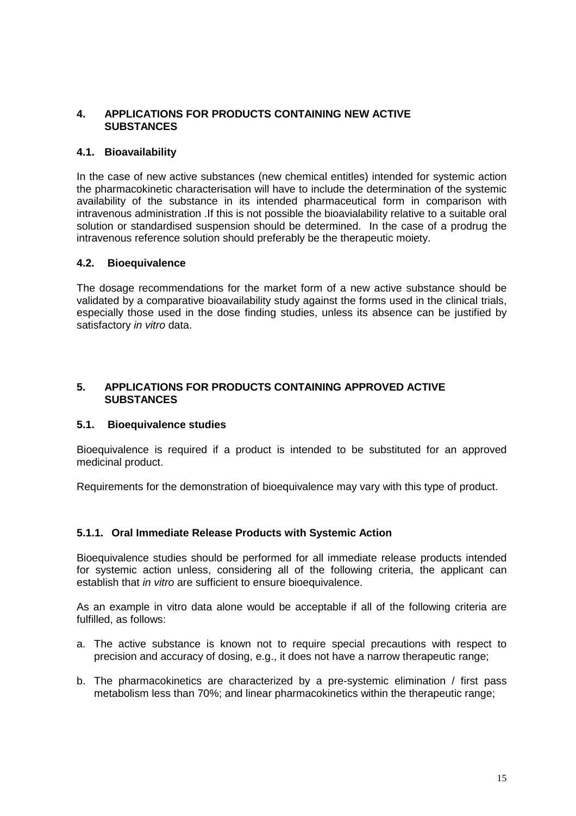## **4. APPLICATIONS FOR PRODUCTS CONTAINING NEW ACTIVE SUBSTANCES**

#### **4.1. Bioavailability**

In the case of new active substances (new chemical entitles) intended for systemic action the pharmacokinetic characterisation will have to include the determination of the systemic availability of the substance in its intended pharmaceutical form in comparison with intravenous administration .If this is not possible the bioavialability relative to a suitable oral solution or standardised suspension should be determined. In the case of a prodrug the intravenous reference solution should preferably be the therapeutic moiety.

#### **4.2. Bioequivalence**

The dosage recommendations for the market form of a new active substance should be validated by a comparative bioavailability study against the forms used in the clinical trials, especially those used in the dose finding studies, unless its absence can be justified by satisfactory in vitro data.

#### **5. APPLICATIONS FOR PRODUCTS CONTAINING APPROVED ACTIVE SUBSTANCES**

#### **5.1. Bioequivalence studies**

Bioequivalence is required if a product is intended to be substituted for an approved medicinal product.

Requirements for the demonstration of bioequivalence may vary with this type of product.

## **5.1.1. Oral Immediate Release Products with Systemic Action**

Bioequivalence studies should be performed for all immediate release products intended for systemic action unless, considering all of the following criteria, the applicant can establish that *in vitro* are sufficient to ensure bioequivalence.

As an example in vitro data alone would be acceptable if all of the following criteria are fulfilled, as follows:

- a. The active substance is known not to require special precautions with respect to precision and accuracy of dosing, e.g., it does not have a narrow therapeutic range;
- b. The pharmacokinetics are characterized by a pre-systemic elimination / first pass metabolism less than 70%; and linear pharmacokinetics within the therapeutic range;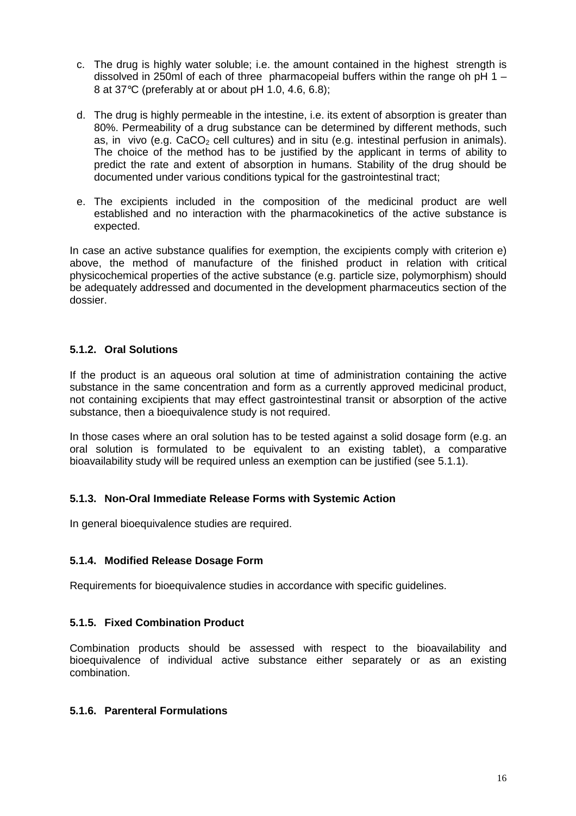- c. The drug is highly water soluble; i.e. the amount contained in the highest strength is dissolved in 250ml of each of three pharmacopeial buffers within the range oh pH 1 – 8 at 37°C (preferably at or about pH 1.0, 4.6, 6.8);
- d. The drug is highly permeable in the intestine, i.e. its extent of absorption is greater than 80%. Permeability of a drug substance can be determined by different methods, such as, in vivo (e.g.  $CaCO<sub>2</sub>$  cell cultures) and in situ (e.g. intestinal perfusion in animals). The choice of the method has to be justified by the applicant in terms of ability to predict the rate and extent of absorption in humans. Stability of the drug should be documented under various conditions typical for the gastrointestinal tract;
- e. The excipients included in the composition of the medicinal product are well established and no interaction with the pharmacokinetics of the active substance is expected.

In case an active substance qualifies for exemption, the excipients comply with criterion e) above, the method of manufacture of the finished product in relation with critical physicochemical properties of the active substance (e.g. particle size, polymorphism) should be adequately addressed and documented in the development pharmaceutics section of the dossier.

## **5.1.2. Oral Solutions**

If the product is an aqueous oral solution at time of administration containing the active substance in the same concentration and form as a currently approved medicinal product, not containing excipients that may effect gastrointestinal transit or absorption of the active substance, then a bioequivalence study is not required.

In those cases where an oral solution has to be tested against a solid dosage form (e.g. an oral solution is formulated to be equivalent to an existing tablet), a comparative bioavailability study will be required unless an exemption can be justified (see 5.1.1).

## **5.1.3. Non-Oral Immediate Release Forms with Systemic Action**

In general bioequivalence studies are required.

#### **5.1.4. Modified Release Dosage Form**

Requirements for bioequivalence studies in accordance with specific guidelines.

#### **5.1.5. Fixed Combination Product**

Combination products should be assessed with respect to the bioavailability and bioequivalence of individual active substance either separately or as an existing combination.

#### **5.1.6. Parenteral Formulations**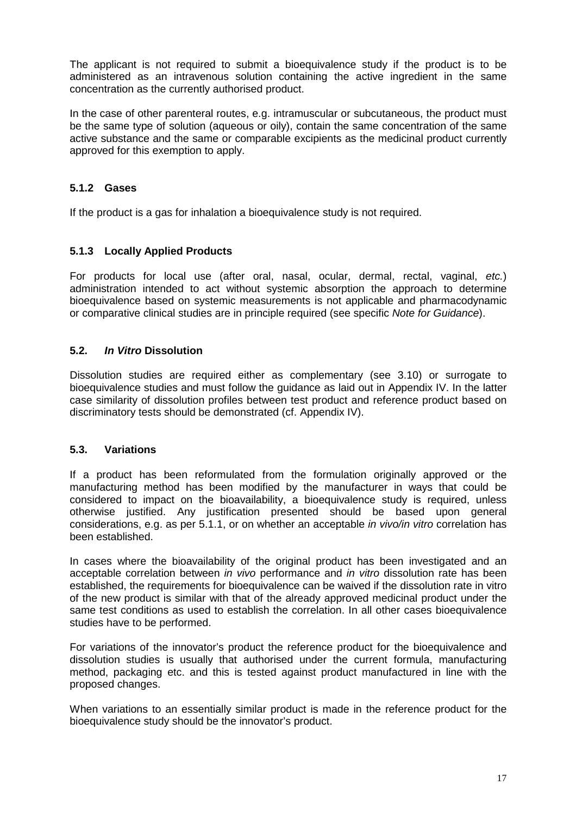The applicant is not required to submit a bioequivalence study if the product is to be administered as an intravenous solution containing the active ingredient in the same concentration as the currently authorised product.

In the case of other parenteral routes, e.g. intramuscular or subcutaneous, the product must be the same type of solution (aqueous or oily), contain the same concentration of the same active substance and the same or comparable excipients as the medicinal product currently approved for this exemption to apply.

#### **5.1.2 Gases**

If the product is a gas for inhalation a bioequivalence study is not required.

#### **5.1.3 Locally Applied Products**

For products for local use (after oral, nasal, ocular, dermal, rectal, vaginal, etc.) administration intended to act without systemic absorption the approach to determine bioequivalence based on systemic measurements is not applicable and pharmacodynamic or comparative clinical studies are in principle required (see specific Note for Guidance).

#### **5.2. In Vitro Dissolution**

Dissolution studies are required either as complementary (see 3.10) or surrogate to bioequivalence studies and must follow the guidance as laid out in Appendix IV. In the latter case similarity of dissolution profiles between test product and reference product based on discriminatory tests should be demonstrated (cf. Appendix IV).

#### **5.3. Variations**

If a product has been reformulated from the formulation originally approved or the manufacturing method has been modified by the manufacturer in ways that could be considered to impact on the bioavailability, a bioequivalence study is required, unless otherwise justified. Any justification presented should be based upon general considerations, e.g. as per 5.1.1, or on whether an acceptable in vivo/in vitro correlation has been established.

In cases where the bioavailability of the original product has been investigated and an acceptable correlation between in vivo performance and in vitro dissolution rate has been established, the requirements for bioequivalence can be waived if the dissolution rate in vitro of the new product is similar with that of the already approved medicinal product under the same test conditions as used to establish the correlation. In all other cases bioequivalence studies have to be performed.

For variations of the innovator's product the reference product for the bioequivalence and dissolution studies is usually that authorised under the current formula, manufacturing method, packaging etc. and this is tested against product manufactured in line with the proposed changes.

When variations to an essentially similar product is made in the reference product for the bioequivalence study should be the innovator's product.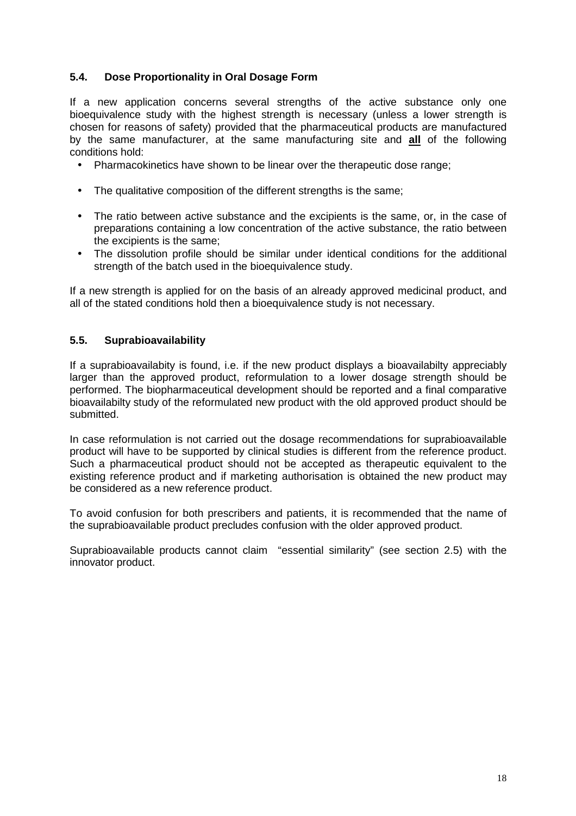#### **5.4. Dose Proportionality in Oral Dosage Form**

If a new application concerns several strengths of the active substance only one bioequivalence study with the highest strength is necessary (unless a lower strength is chosen for reasons of safety) provided that the pharmaceutical products are manufactured by the same manufacturer, at the same manufacturing site and **all** of the following conditions hold:

- Pharmacokinetics have shown to be linear over the therapeutic dose range;
- The qualitative composition of the different strengths is the same:
- The ratio between active substance and the excipients is the same, or, in the case of preparations containing a low concentration of the active substance, the ratio between the excipients is the same;
- The dissolution profile should be similar under identical conditions for the additional strength of the batch used in the bioequivalence study.

If a new strength is applied for on the basis of an already approved medicinal product, and all of the stated conditions hold then a bioequivalence study is not necessary.

#### **5.5. Suprabioavailability**

If a suprabioavailabity is found, i.e. if the new product displays a bioavailabilty appreciably larger than the approved product, reformulation to a lower dosage strength should be performed. The biopharmaceutical development should be reported and a final comparative bioavailabilty study of the reformulated new product with the old approved product should be submitted.

In case reformulation is not carried out the dosage recommendations for suprabioavailable product will have to be supported by clinical studies is different from the reference product. Such a pharmaceutical product should not be accepted as therapeutic equivalent to the existing reference product and if marketing authorisation is obtained the new product may be considered as a new reference product.

To avoid confusion for both prescribers and patients, it is recommended that the name of the suprabioavailable product precludes confusion with the older approved product.

Suprabioavailable products cannot claim "essential similarity" (see section 2.5) with the innovator product.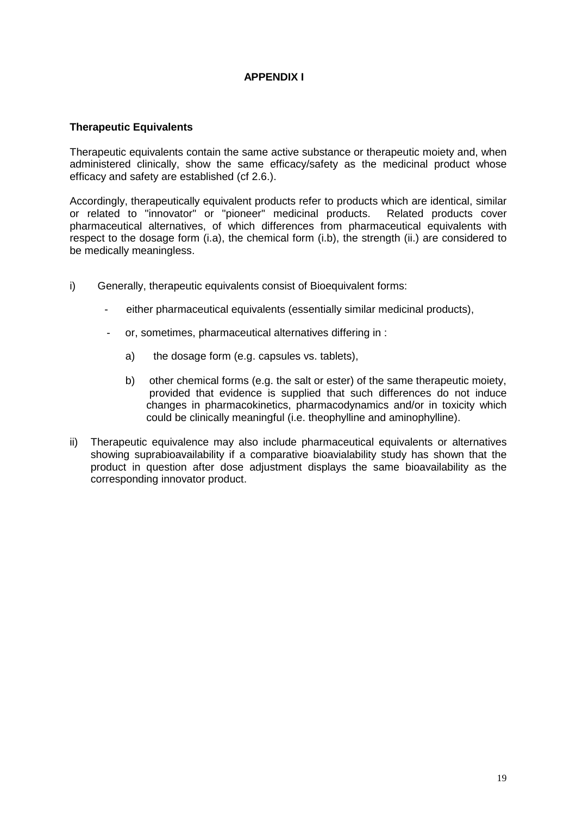#### **APPENDIX I**

#### **Therapeutic Equivalents**

Therapeutic equivalents contain the same active substance or therapeutic moiety and, when administered clinically, show the same efficacy/safety as the medicinal product whose efficacy and safety are established (cf 2.6.).

Accordingly, therapeutically equivalent products refer to products which are identical, similar or related to "innovator" or "pioneer" medicinal products. Related products cover pharmaceutical alternatives, of which differences from pharmaceutical equivalents with respect to the dosage form (i.a), the chemical form (i.b), the strength (ii.) are considered to be medically meaningless.

- i) Generally, therapeutic equivalents consist of Bioequivalent forms:
	- either pharmaceutical equivalents (essentially similar medicinal products),
	- or, sometimes, pharmaceutical alternatives differing in :
		- a) the dosage form (e.g. capsules vs. tablets),
		- b) other chemical forms (e.g. the salt or ester) of the same therapeutic moiety, provided that evidence is supplied that such differences do not induce changes in pharmacokinetics, pharmacodynamics and/or in toxicity which could be clinically meaningful (i.e. theophylline and aminophylline).
- ii) Therapeutic equivalence may also include pharmaceutical equivalents or alternatives showing suprabioavailability if a comparative bioavialability study has shown that the product in question after dose adjustment displays the same bioavailability as the corresponding innovator product.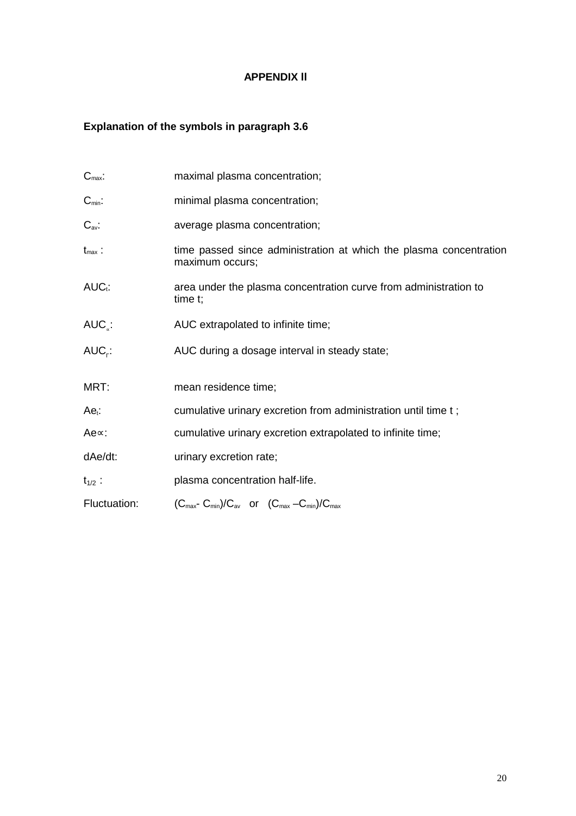## **APPENDIX ll**

# **Explanation of the symbols in paragraph 3.6**

| $C_{\text{max}}$ : | maximal plasma concentration;                                                                       |
|--------------------|-----------------------------------------------------------------------------------------------------|
| $C_{\text{min}}$ : | minimal plasma concentration;                                                                       |
| $C_{\text{av}}$ :  | average plasma concentration;                                                                       |
| $t_{\text{max}}$ : | time passed since administration at which the plasma concentration<br>maximum occurs;               |
| $AUC_t$ :          | area under the plasma concentration curve from administration to<br>time t;                         |
| $AUC_{\leq}$ :     | AUC extrapolated to infinite time;                                                                  |
| $AUC_r$ :          | AUC during a dosage interval in steady state;                                                       |
| MRT:               | mean residence time;                                                                                |
| $Ae_i$ :           | cumulative urinary excretion from administration until time t;                                      |
| Ae∝:               | cumulative urinary excretion extrapolated to infinite time;                                         |
| dAe/dt:            | urinary excretion rate;                                                                             |
| $t_{1/2}$ :        | plasma concentration half-life.                                                                     |
| Fluctuation:       | $(C_{\text{max}}-C_{\text{min}})/C_{\text{av}}$ or $(C_{\text{max}}-C_{\text{min}})/C_{\text{max}}$ |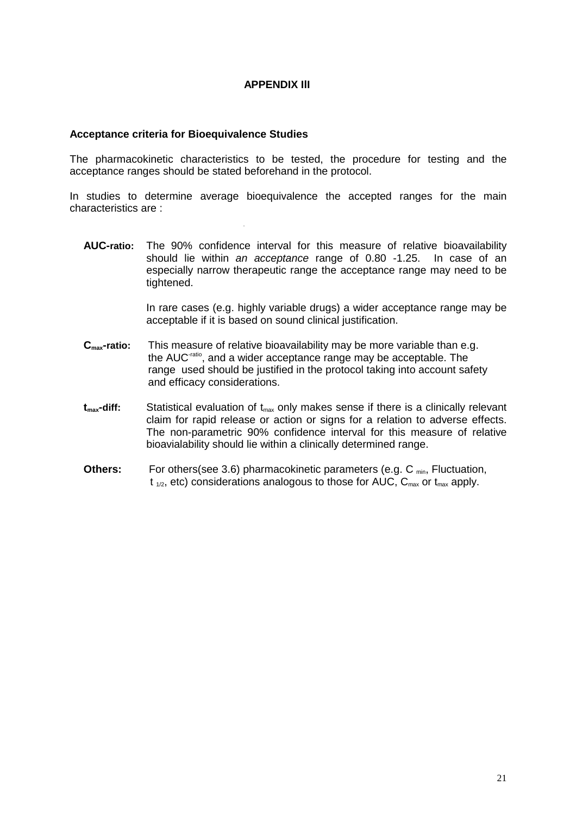#### **APPENDIX IlI**

#### **Acceptance criteria for Bioequivalence Studies**

The pharmacokinetic characteristics to be tested, the procedure for testing and the acceptance ranges should be stated beforehand in the protocol.

In studies to determine average bioequivalence the accepted ranges for the main characteristics are :

**AUC-ratio:** The 90% confidence interval for this measure of relative bioavailability should lie within an acceptance range of 0.80 -1.25. In case of an especially narrow therapeutic range the acceptance range may need to be tightened.

> In rare cases (e.g. highly variable drugs) a wider acceptance range may be acceptable if it is based on sound clinical justification.

- **Cmax-ratio:** This measure of relative bioavailability may be more variable than e.g. the AUC-ratio, and a wider acceptance range may be acceptable. The range used should be justified in the protocol taking into account safety and efficacy considerations.
- $t_{max}$ -diff: Statistical evaluation of  $t_{max}$  only makes sense if there is a clinically relevant claim for rapid release or action or signs for a relation to adverse effects. The non-parametric 90% confidence interval for this measure of relative bioavialability should lie within a clinically determined range.
- **Others:** For others(see 3.6) pharmacokinetic parameters (e.g. C<sub>min</sub>, Fluctuation,  $t_{1/2}$ , etc) considerations analogous to those for AUC,  $C_{\text{max}}$  or  $t_{\text{max}}$  apply.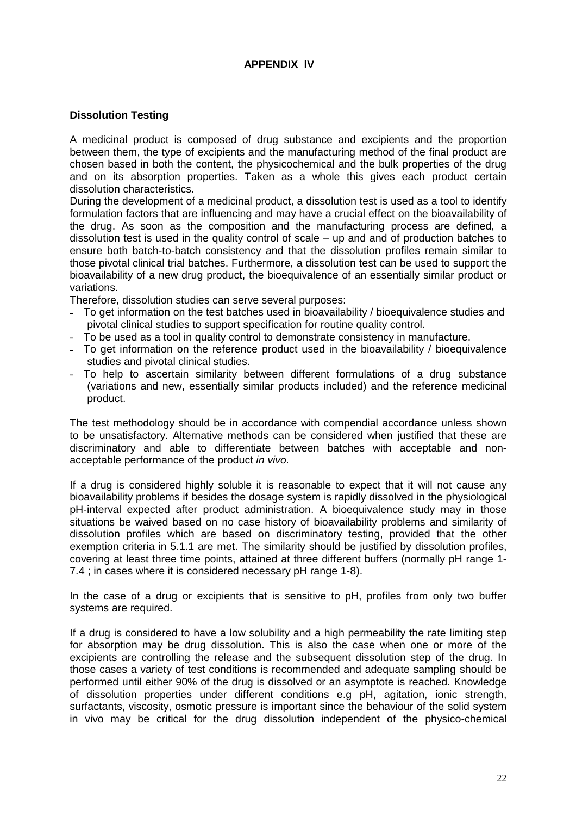#### **APPENDIX lV**

#### **Dissolution Testing**

A medicinal product is composed of drug substance and excipients and the proportion between them, the type of excipients and the manufacturing method of the final product are chosen based in both the content, the physicochemical and the bulk properties of the drug and on its absorption properties. Taken as a whole this gives each product certain dissolution characteristics.

During the development of a medicinal product, a dissolution test is used as a tool to identify formulation factors that are influencing and may have a crucial effect on the bioavailability of the drug. As soon as the composition and the manufacturing process are defined, a dissolution test is used in the quality control of scale – up and and of production batches to ensure both batch-to-batch consistency and that the dissolution profiles remain similar to those pivotal clinical trial batches. Furthermore, a dissolution test can be used to support the bioavailability of a new drug product, the bioequivalence of an essentially similar product or variations.

Therefore, dissolution studies can serve several purposes:

- To get information on the test batches used in bioavailability / bioequivalence studies and pivotal clinical studies to support specification for routine quality control.
- To be used as a tool in quality control to demonstrate consistency in manufacture.
- To get information on the reference product used in the bioavailability / bioequivalence studies and pivotal clinical studies.
- To help to ascertain similarity between different formulations of a drug substance (variations and new, essentially similar products included) and the reference medicinal product.

The test methodology should be in accordance with compendial accordance unless shown to be unsatisfactory. Alternative methods can be considered when justified that these are discriminatory and able to differentiate between batches with acceptable and nonacceptable performance of the product in vivo.

If a drug is considered highly soluble it is reasonable to expect that it will not cause any bioavailability problems if besides the dosage system is rapidly dissolved in the physiological pH-interval expected after product administration. A bioequivalence study may in those situations be waived based on no case history of bioavailability problems and similarity of dissolution profiles which are based on discriminatory testing, provided that the other exemption criteria in 5.1.1 are met. The similarity should be justified by dissolution profiles, covering at least three time points, attained at three different buffers (normally pH range 1- 7.4 ; in cases where it is considered necessary pH range 1-8).

In the case of a drug or excipients that is sensitive to pH, profiles from only two buffer systems are required.

If a drug is considered to have a low solubility and a high permeability the rate limiting step for absorption may be drug dissolution. This is also the case when one or more of the excipients are controlling the release and the subsequent dissolution step of the drug. In those cases a variety of test conditions is recommended and adequate sampling should be performed until either 90% of the drug is dissolved or an asymptote is reached. Knowledge of dissolution properties under different conditions e.g pH, agitation, ionic strength, surfactants, viscosity, osmotic pressure is important since the behaviour of the solid system in vivo may be critical for the drug dissolution independent of the physico-chemical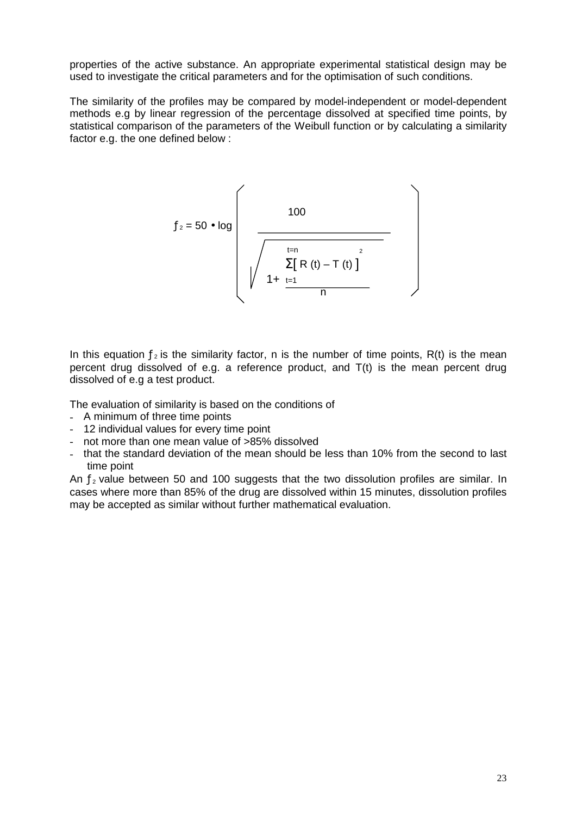properties of the active substance. An appropriate experimental statistical design may be used to investigate the critical parameters and for the optimisation of such conditions.

The similarity of the profiles may be compared by model-independent or model-dependent methods e.g by linear regression of the percentage dissolved at specified time points, by statistical comparison of the parameters of the Weibull function or by calculating a similarity factor e.g. the one defined below :

$$
f_2 = 50 \cdot \log \left( \frac{100}{\sqrt{\frac{\frac{t-n}{\sum [R(t) - T(t)]^2}}{1 + \frac{t-1}{n}}}} \right)
$$

In this equation  $f_2$  is the similarity factor, n is the number of time points, R(t) is the mean percent drug dissolved of e.g. a reference product, and T(t) is the mean percent drug dissolved of e.g a test product.

The evaluation of similarity is based on the conditions of

- A minimum of three time points
- 12 individual values for every time point
- not more than one mean value of >85% dissolved
- that the standard deviation of the mean should be less than 10% from the second to last time point

An  $f_2$  value between 50 and 100 suggests that the two dissolution profiles are similar. In cases where more than 85% of the drug are dissolved within 15 minutes, dissolution profiles may be accepted as similar without further mathematical evaluation.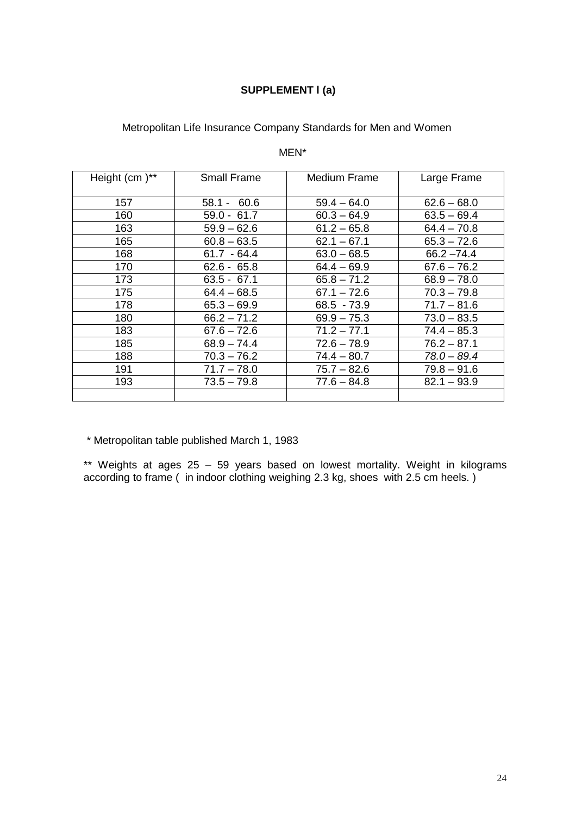## **SUPPLEMENT l (a)**

## Metropolitan Life Insurance Company Standards for Men and Women

#### MEN\*

| Height (cm) <sup>**</sup> | <b>Small Frame</b> | Medium Frame  | Large Frame   |
|---------------------------|--------------------|---------------|---------------|
| 157                       | $58.1 - 60.6$      | $59.4 - 64.0$ | $62.6 - 68.0$ |
| 160                       | $59.0 - 61.7$      | $60.3 - 64.9$ | $63.5 - 69.4$ |
| 163                       | $59.9 - 62.6$      | $61.2 - 65.8$ | $64.4 - 70.8$ |
| 165                       | $60.8 - 63.5$      | $62.1 - 67.1$ | $65.3 - 72.6$ |
| 168                       | $61.7 - 64.4$      | $63.0 - 68.5$ | $66.2 - 74.4$ |
| 170                       | $62.6 - 65.8$      | $64.4 - 69.9$ | $67.6 - 76.2$ |
| 173                       | $63.5 - 67.1$      | $65.8 - 71.2$ | $68.9 - 78.0$ |
| 175                       | $64.4 - 68.5$      | $67.1 - 72.6$ | $70.3 - 79.8$ |
| 178                       | $65.3 - 69.9$      | $68.5 - 73.9$ | $71.7 - 81.6$ |
| 180                       | $66.2 - 71.2$      | $69.9 - 75.3$ | $73.0 - 83.5$ |
| 183                       | $67.6 - 72.6$      | $71.2 - 77.1$ | $74.4 - 85.3$ |
| 185                       | $68.9 - 74.4$      | $72.6 - 78.9$ | $76.2 - 87.1$ |
| 188                       | $70.3 - 76.2$      | $74.4 - 80.7$ | $78.0 - 89.4$ |
| 191                       | $71.7 - 78.0$      | $75.7 - 82.6$ | $79.8 - 91.6$ |
| 193                       | $73.5 - 79.8$      | $77.6 - 84.8$ | $82.1 - 93.9$ |
|                           |                    |               |               |

\* Metropolitan table published March 1, 1983

\*\* Weights at ages 25 – 59 years based on lowest mortality. Weight in kilograms according to frame ( in indoor clothing weighing 2.3 kg, shoes with 2.5 cm heels. )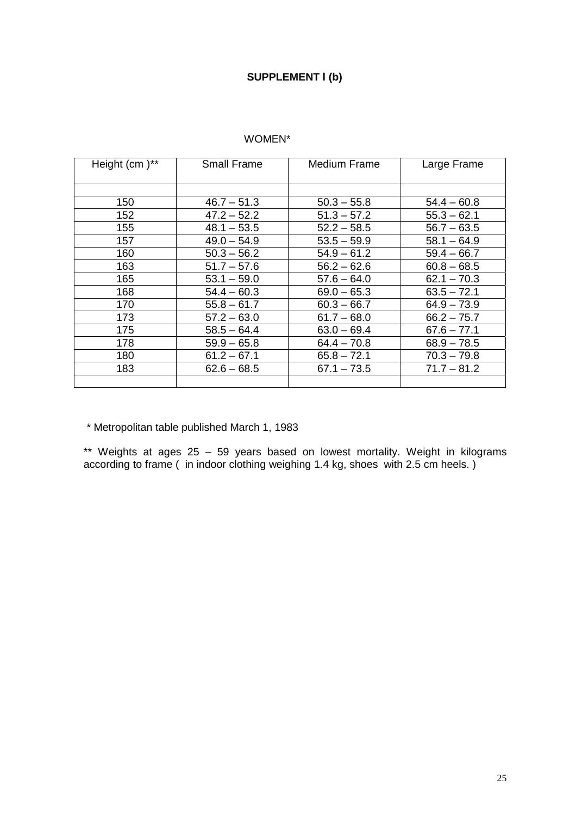#### **SUPPLEMENT l (b)**

#### WOMEN\*

| Height (cm)** | <b>Small Frame</b> | <b>Medium Frame</b> | Large Frame   |
|---------------|--------------------|---------------------|---------------|
|               |                    |                     |               |
| 150           | $46.7 - 51.3$      | $50.3 - 55.8$       | $54.4 - 60.8$ |
| 152           | $47.2 - 52.2$      | $51.3 - 57.2$       | $55.3 - 62.1$ |
| 155           | $48.1 - 53.5$      | $52.2 - 58.5$       | $56.7 - 63.5$ |
| 157           | $49.0 - 54.9$      | $53.5 - 59.9$       | $58.1 - 64.9$ |
| 160           | $50.3 - 56.2$      | $54.9 - 61.2$       | $59.4 - 66.7$ |
| 163           | $51.7 - 57.6$      | $56.2 - 62.6$       | $60.8 - 68.5$ |
| 165           | $53.1 - 59.0$      | $57.6 - 64.0$       | $62.1 - 70.3$ |
| 168           | $54.4 - 60.3$      | $69.0 - 65.3$       | $63.5 - 72.1$ |
| 170           | $55.8 - 61.7$      | $60.3 - 66.7$       | $64.9 - 73.9$ |
| 173           | $57.2 - 63.0$      | $61.7 - 68.0$       | $66.2 - 75.7$ |
| 175           | $58.5 - 64.4$      | $63.0 - 69.4$       | $67.6 - 77.1$ |
| 178           | $59.9 - 65.8$      | $64.4 - 70.8$       | $68.9 - 78.5$ |
| 180           | $61.2 - 67.1$      | $65.8 - 72.1$       | $70.3 - 79.8$ |
| 183           | $62.6 - 68.5$      | $67.1 - 73.5$       | $71.7 - 81.2$ |
|               |                    |                     |               |

\* Metropolitan table published March 1, 1983

\*\* Weights at ages 25 – 59 years based on lowest mortality. Weight in kilograms according to frame ( in indoor clothing weighing 1.4 kg, shoes with 2.5 cm heels. )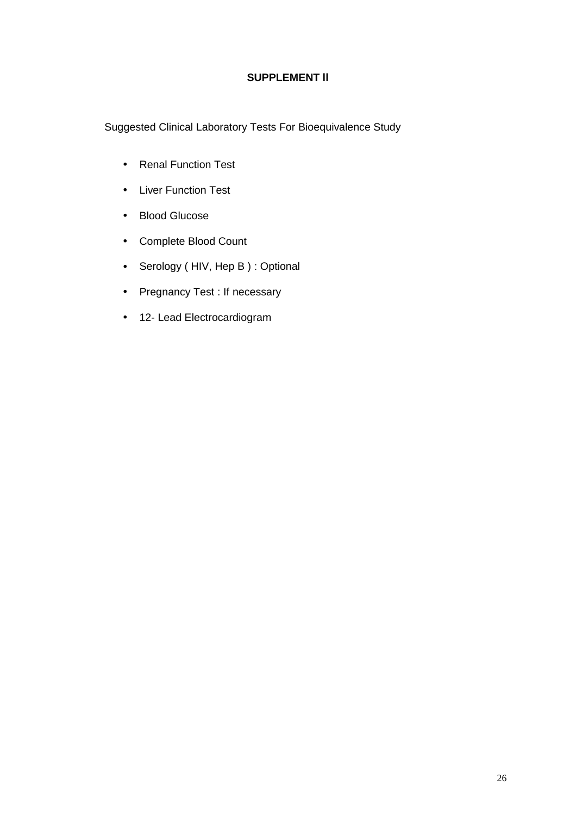#### **SUPPLEMENT ll**

Suggested Clinical Laboratory Tests For Bioequivalence Study

- Renal Function Test
- Liver Function Test
- Blood Glucose
- Complete Blood Count
- Serology (HIV, Hep B) : Optional
- Pregnancy Test : If necessary
- 12- Lead Electrocardiogram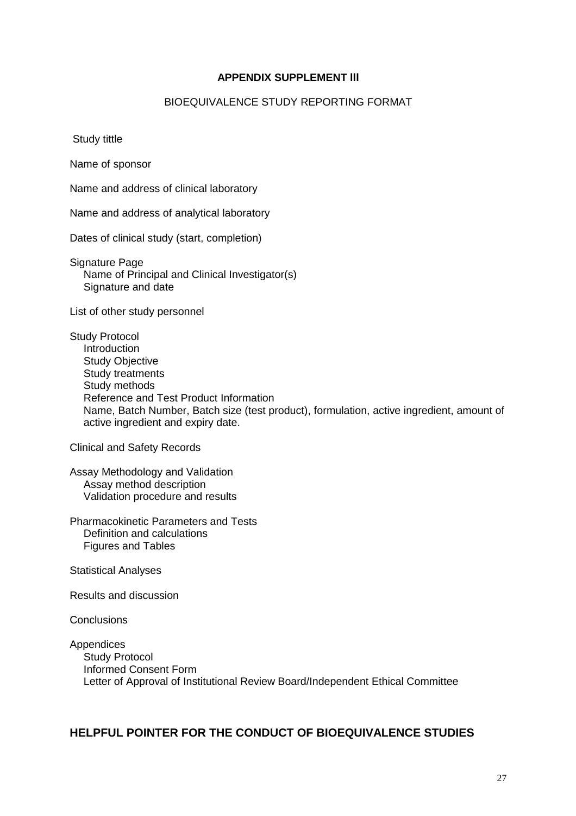#### **APPENDIX SUPPLEMENT lll**

#### BIOEQUIVALENCE STUDY REPORTING FORMAT

Study tittle

Name of sponsor

Name and address of clinical laboratory

Name and address of analytical laboratory

Dates of clinical study (start, completion)

Signature Page Name of Principal and Clinical Investigator(s) Signature and date

List of other study personnel

Study Protocol **Introduction** Study Objective Study treatments Study methods Reference and Test Product Information Name, Batch Number, Batch size (test product), formulation, active ingredient, amount of active ingredient and expiry date.

Clinical and Safety Records

Assay Methodology and Validation Assay method description Validation procedure and results

Pharmacokinetic Parameters and Tests Definition and calculations Figures and Tables

Statistical Analyses

Results and discussion

**Conclusions** 

**Appendices** Study Protocol Informed Consent Form Letter of Approval of Institutional Review Board/Independent Ethical Committee

#### **HELPFUL POINTER FOR THE CONDUCT OF BIOEQUIVALENCE STUDIES**